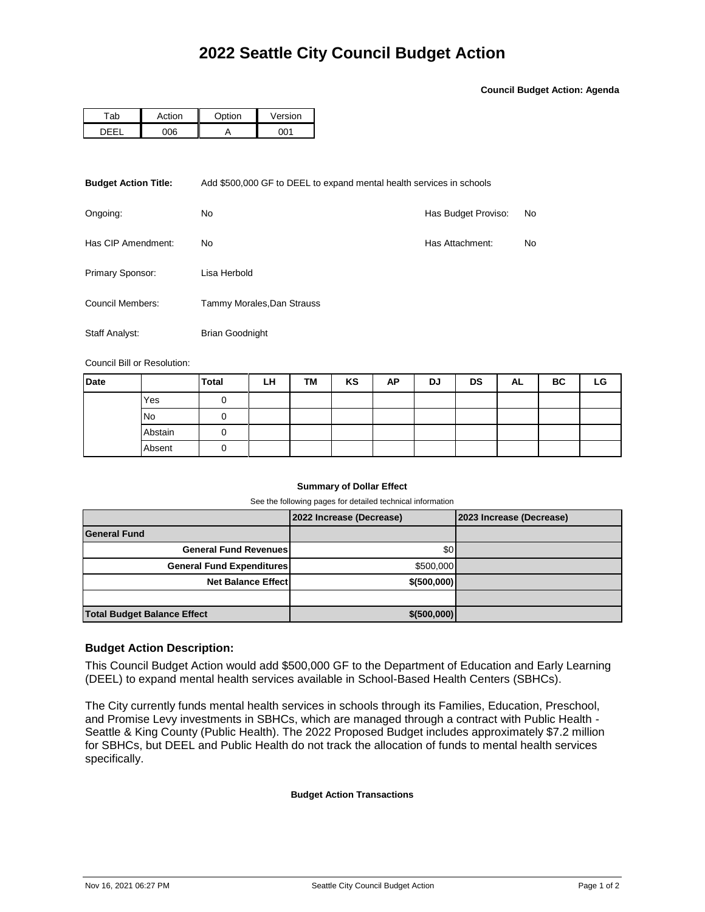**Council Budget Action: Agenda**

| h | ction | $\sim$ tion | Version |  |  |
|---|-------|-------------|---------|--|--|
|   | ነሰድ   |             | ົາ ລ    |  |  |

| <b>Budget Action Title:</b> | Add \$500,000 GF to DEEL to expand mental health services in schools |                     |    |  |  |  |
|-----------------------------|----------------------------------------------------------------------|---------------------|----|--|--|--|
| Ongoing:                    | No.                                                                  | Has Budget Proviso: | No |  |  |  |
| Has CIP Amendment:          | No.                                                                  | Has Attachment:     | No |  |  |  |
| Primary Sponsor:            | Lisa Herbold                                                         |                     |    |  |  |  |
| Council Members:            | Tammy Morales, Dan Strauss                                           |                     |    |  |  |  |
| Staff Analyst:              | <b>Brian Goodnight</b>                                               |                     |    |  |  |  |

Council Bill or Resolution:

| <b>Date</b> |         | <b>Total</b> | LH | TM | KS | ΑP | DJ | DS | AL | ВC | LG |
|-------------|---------|--------------|----|----|----|----|----|----|----|----|----|
|             | Yes     |              |    |    |    |    |    |    |    |    |    |
|             | No      |              |    |    |    |    |    |    |    |    |    |
|             | Abstain |              |    |    |    |    |    |    |    |    |    |
|             | Absent  |              |    |    |    |    |    |    |    |    |    |

## **Summary of Dollar Effect**

See the following pages for detailed technical information

|                                    | 2022 Increase (Decrease) | 2023 Increase (Decrease) |
|------------------------------------|--------------------------|--------------------------|
| <b>General Fund</b>                |                          |                          |
| <b>General Fund Revenues</b>       | \$0                      |                          |
| <b>General Fund Expenditures</b>   | \$500,000                |                          |
| <b>Net Balance Effect</b>          | \$ (500,000)             |                          |
|                                    |                          |                          |
| <b>Total Budget Balance Effect</b> | \$ (500,000)             |                          |

## **Budget Action Description:**

This Council Budget Action would add \$500,000 GF to the Department of Education and Early Learning (DEEL) to expand mental health services available in School-Based Health Centers (SBHCs).

The City currently funds mental health services in schools through its Families, Education, Preschool, and Promise Levy investments in SBHCs, which are managed through a contract with Public Health - Seattle & King County (Public Health). The 2022 Proposed Budget includes approximately \$7.2 million for SBHCs, but DEEL and Public Health do not track the allocation of funds to mental health services specifically.

## **Budget Action Transactions**